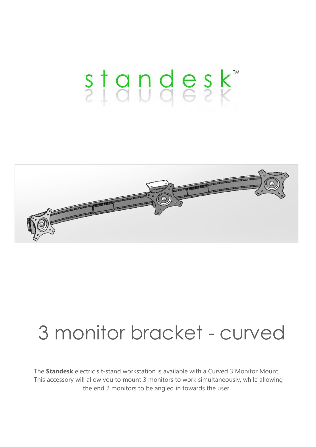# standesk<sup>\*</sup>



## 3 monitor bracket - curved

The **Standesk** electric sit-stand workstation is available with a Curved 3 Monitor Mount. This accessory will allow you to mount 3 monitors to work simultaneously, while allowing the end 2 monitors to be angled in towards the user.